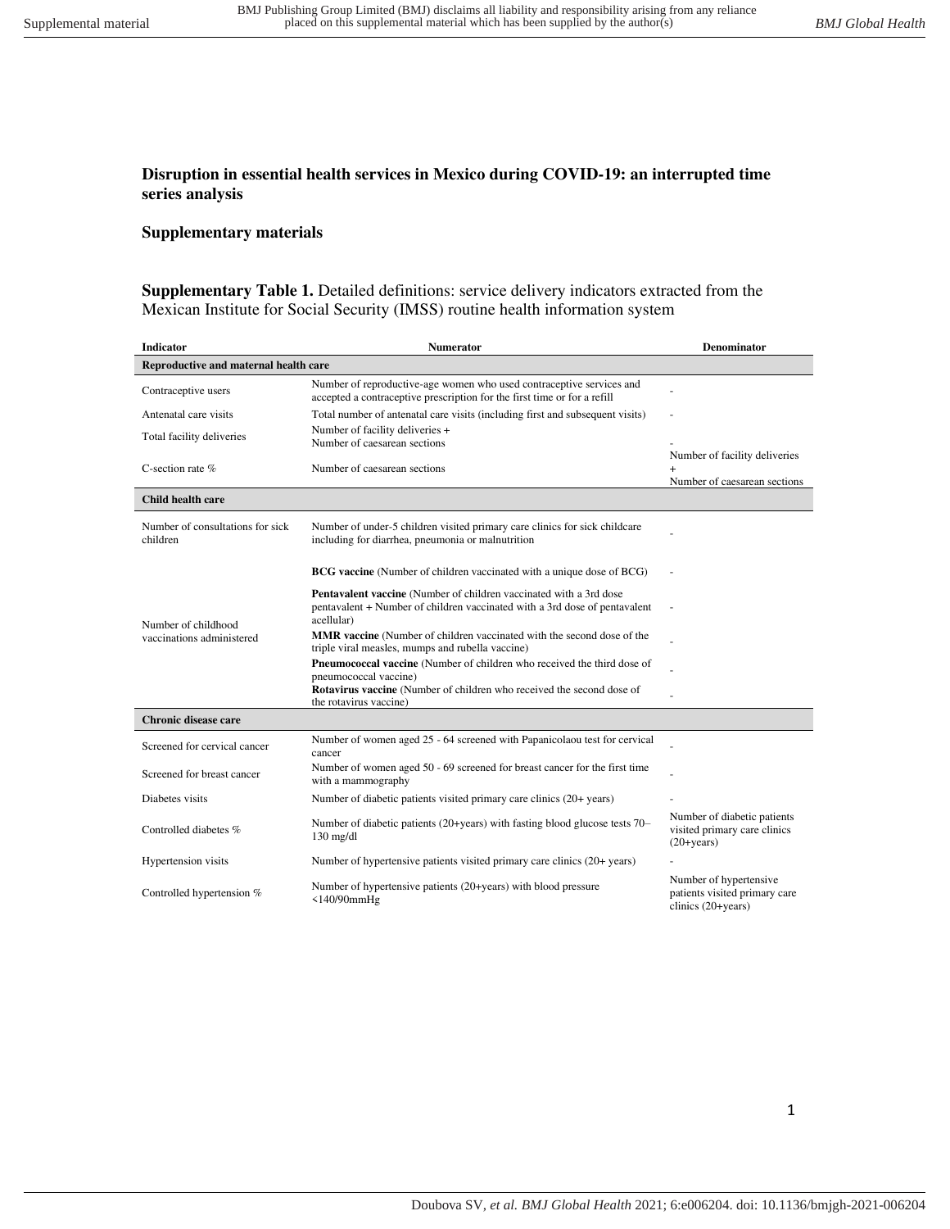## **Disruption in essential health services in Mexico during COVID-19: an interrupted time series analysis**

## **Supplementary materials**

**Supplementary Table 1.** Detailed definitions: service delivery indicators extracted from the Mexican Institute for Social Security (IMSS) routine health information system

| <b>Indicator</b>                                 | <b>Numerator</b>                                                                                                                                                      | <b>Denominator</b>                                                            |  |  |  |  |
|--------------------------------------------------|-----------------------------------------------------------------------------------------------------------------------------------------------------------------------|-------------------------------------------------------------------------------|--|--|--|--|
| Reproductive and maternal health care            |                                                                                                                                                                       |                                                                               |  |  |  |  |
| Contraceptive users                              | Number of reproductive-age women who used contraceptive services and<br>accepted a contraceptive prescription for the first time or for a refill                      |                                                                               |  |  |  |  |
| Antenatal care visits                            | Total number of antenatal care visits (including first and subsequent visits)                                                                                         |                                                                               |  |  |  |  |
| Total facility deliveries                        | Number of facility deliveries +<br>Number of caesarean sections                                                                                                       |                                                                               |  |  |  |  |
|                                                  |                                                                                                                                                                       | Number of facility deliveries                                                 |  |  |  |  |
| C-section rate $%$                               | Number of caesarean sections                                                                                                                                          |                                                                               |  |  |  |  |
|                                                  |                                                                                                                                                                       | Number of caesarean sections                                                  |  |  |  |  |
| Child health care                                |                                                                                                                                                                       |                                                                               |  |  |  |  |
| Number of consultations for sick<br>children     | Number of under-5 children visited primary care clinics for sick childcare<br>including for diarrhea, pneumonia or malnutrition                                       |                                                                               |  |  |  |  |
| Number of childhood<br>vaccinations administered | <b>BCG</b> vaccine (Number of children vaccinated with a unique dose of BCG)                                                                                          |                                                                               |  |  |  |  |
|                                                  | <b>Pentavalent vaccine</b> (Number of children vaccinated with a 3rd dose<br>pentavalent + Number of children vaccinated with a 3rd dose of pentavalent<br>acellular) |                                                                               |  |  |  |  |
|                                                  | MMR vaccine (Number of children vaccinated with the second dose of the<br>triple viral measles, mumps and rubella vaccine)                                            |                                                                               |  |  |  |  |
|                                                  | <b>Pneumococcal vaccine</b> (Number of children who received the third dose of<br>pneumococcal vaccine)                                                               |                                                                               |  |  |  |  |
|                                                  | Rotavirus vaccine (Number of children who received the second dose of<br>the rotavirus vaccine)                                                                       |                                                                               |  |  |  |  |
| Chronic disease care                             |                                                                                                                                                                       |                                                                               |  |  |  |  |
| Screened for cervical cancer                     | Number of women aged 25 - 64 screened with Papanicolaou test for cervical<br>cancer                                                                                   |                                                                               |  |  |  |  |
| Screened for breast cancer                       | Number of women aged 50 - 69 screened for breast cancer for the first time<br>with a mammography                                                                      |                                                                               |  |  |  |  |
| Diabetes visits                                  | Number of diabetic patients visited primary care clinics (20+ years)                                                                                                  |                                                                               |  |  |  |  |
| Controlled diabetes %                            | Number of diabetic patients (20+years) with fasting blood glucose tests 70–<br>$130$ mg/dl                                                                            | Number of diabetic patients<br>visited primary care clinics<br>$(20 + years)$ |  |  |  |  |
| Hypertension visits                              | Number of hypertensive patients visited primary care clinics (20+ years)                                                                                              |                                                                               |  |  |  |  |
| Controlled hypertension %                        | Number of hypertensive patients (20+years) with blood pressure<br>$<$ 140/90 $mm$ Hg                                                                                  | Number of hypertensive<br>patients visited primary care<br>clinics (20+years) |  |  |  |  |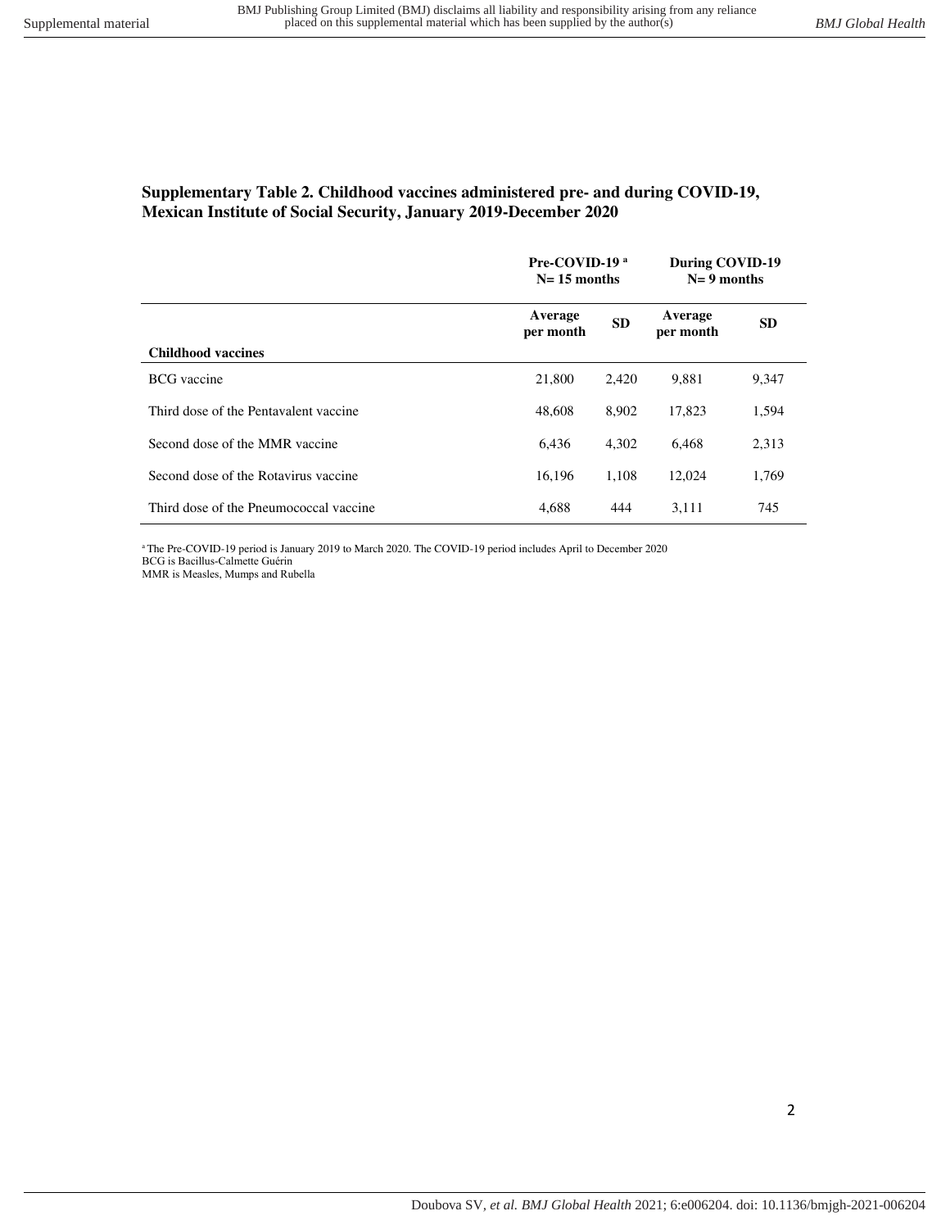# **Supplementary Table 2. Childhood vaccines administered pre- and during COVID-19, Mexican Institute of Social Security, January 2019-December 2020**

|                                        | Pre-COVID-19 <sup>a</sup><br>$N=15$ months |           | During COVID-19<br>$N = 9$ months |           |
|----------------------------------------|--------------------------------------------|-----------|-----------------------------------|-----------|
|                                        | Average<br>per month                       | <b>SD</b> | Average<br>per month              | <b>SD</b> |
| <b>Childhood vaccines</b>              |                                            |           |                                   |           |
| <b>BCG</b> vaccine                     | 21,800                                     | 2.420     | 9.881                             | 9,347     |
| Third dose of the Pentavalent vaccine  | 48,608                                     | 8,902     | 17.823                            | 1,594     |
| Second dose of the MMR vaccine         | 6.436                                      | 4,302     | 6.468                             | 2,313     |
| Second dose of the Rotavirus vaccine   | 16,196                                     | 1,108     | 12,024                            | 1,769     |
| Third dose of the Pneumococcal vaccine | 4,688                                      | 444       | 3.111                             | 745       |

<sup>a</sup>The Pre-COVID-19 period is January 2019 to March 2020. The COVID-19 period includes April to December 2020 BCG is Bacillus-Calmette Guérin

MMR is Measles, Mumps and Rubella